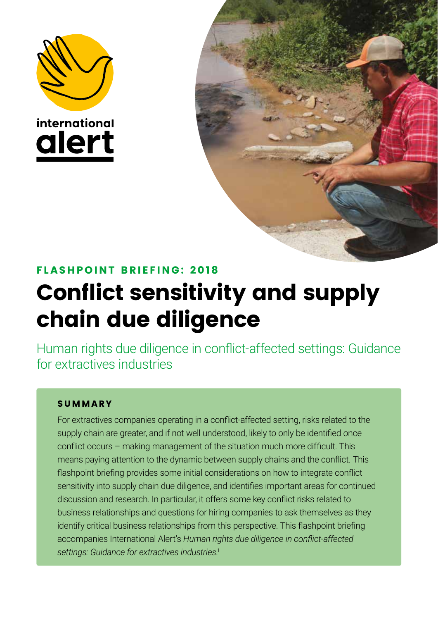





### FL ASHPOINT BRIEFING: 2 018

# Conflict sensitivity and supply chain due diligence

Human rights due diligence in conflict-affected settings: Guidance for extractives industries

#### SUMMARY

For extractives companies operating in a conflict-affected setting, risks related to the supply chain are greater, and if not well understood, likely to only be identified once conflict occurs – making management of the situation much more difficult. This means paying attention to the dynamic between supply chains and the conflict. This flashpoint briefing provides some initial considerations on how to integrate conflict sensitivity into supply chain due diligence, and identifies important areas for continued discussion and research. In particular, it offers some key conflict risks related to business relationships and questions for hiring companies to ask themselves as they identify critical business relationships from this perspective. This flashpoint briefing accompanies International Alert's *Human rights due diligence in conflict-affected settings: Guidance for extractives industries*. 1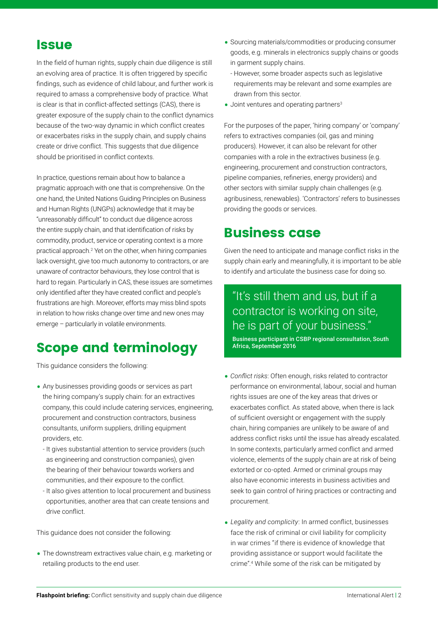### **Issue**

In the field of human rights, supply chain due diligence is still an evolving area of practice. It is often triggered by specific findings, such as evidence of child labour, and further work is required to amass a comprehensive body of practice. What is clear is that in conflict-affected settings (CAS), there is greater exposure of the supply chain to the conflict dynamics because of the two-way dynamic in which conflict creates or exacerbates risks in the supply chain, and supply chains create or drive conflict. This suggests that due diligence should be prioritised in conflict contexts.

In practice, questions remain about how to balance a pragmatic approach with one that is comprehensive. On the one hand, the United Nations Guiding Principles on Business and Human Rights (UNGPs) acknowledge that it may be "unreasonably difficult" to conduct due diligence across the entire supply chain, and that identification of risks by commodity, product, service or operating context is a more practical approach.<sup>2</sup> Yet on the other, when hiring companies lack oversight, give too much autonomy to contractors, or are unaware of contractor behaviours, they lose control that is hard to regain. Particularly in CAS, these issues are sometimes only identified after they have created conflict and people's frustrations are high. Moreover, efforts may miss blind spots in relation to how risks change over time and new ones may emerge – particularly in volatile environments.

# Scope and terminology

This guidance considers the following:

- Any businesses providing goods or services as part the hiring company's supply chain: for an extractives company, this could include catering services, engineering, procurement and construction contractors, business consultants, uniform suppliers, drilling equipment providers, etc.
- It gives substantial attention to service providers (such as engineering and construction companies), given the bearing of their behaviour towards workers and communities, and their exposure to the conflict.
- It also gives attention to local procurement and business opportunities, another area that can create tensions and drive conflict.

This guidance does not consider the following:

• The downstream extractives value chain, e.g. marketing or retailing products to the end user.

- Sourcing materials/commodities or producing consumer goods, e.g. minerals in electronics supply chains or goods in garment supply chains.
	- However, some broader aspects such as legislative requirements may be relevant and some examples are drawn from this sector.
- $\bullet$  Joint ventures and operating partners<sup>3</sup>

For the purposes of the paper, 'hiring company' or 'company' refers to extractives companies (oil, gas and mining producers). However, it can also be relevant for other companies with a role in the extractives business (e.g. engineering, procurement and construction contractors, pipeline companies, refineries, energy providers) and other sectors with similar supply chain challenges (e.g. agribusiness, renewables). 'Contractors' refers to businesses providing the goods or services.

# Business case

Given the need to anticipate and manage conflict risks in the supply chain early and meaningfully, it is important to be able to identify and articulate the business case for doing so.

### "It's still them and us, but if a contractor is working on site, he is part of your business."

Business participant in CSBP regional consultation, South Africa, September 2016

- *Conflict risks*: Often enough, risks related to contractor performance on environmental, labour, social and human rights issues are one of the key areas that drives or exacerbates conflict. As stated above, when there is lack of sufficient oversight or engagement with the supply chain, hiring companies are unlikely to be aware of and address conflict risks until the issue has already escalated. In some contexts, particularly armed conflict and armed violence, elements of the supply chain are at risk of being extorted or co-opted. Armed or criminal groups may also have economic interests in business activities and seek to gain control of hiring practices or contracting and procurement.
- *Legality and complicity*: In armed conflict, businesses face the risk of criminal or civil liability for complicity in war crimes "if there is evidence of knowledge that providing assistance or support would facilitate the crime".<sup>4</sup> While some of the risk can be mitigated by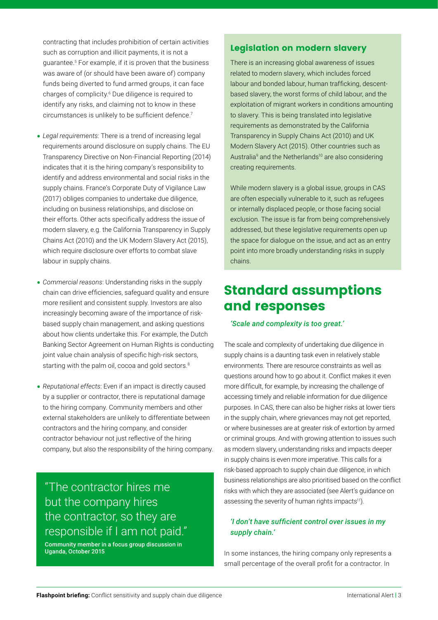contracting that includes prohibition of certain activities such as corruption and illicit payments, it is not a guarantee.<sup>5</sup> For example, if it is proven that the business was aware of (or should have been aware of) company funds being diverted to fund armed groups, it can face charges of complicity.<sup>6</sup> Due diligence is required to identify any risks, and claiming not to know in these circumstances is unlikely to be sufficient defence.<sup>7</sup>

- *Legal requirements*: There is a trend of increasing legal requirements around disclosure on supply chains. The EU Transparency Directive on Non-Financial Reporting (2014) indicates that it is the hiring company's responsibility to identify and address environmental and social risks in the supply chains. France's Corporate Duty of Vigilance Law (2017) obliges companies to undertake due diligence, including on business relationships, and disclose on their efforts. Other acts specifically address the issue of modern slavery, e.g. the California Transparency in Supply Chains Act (2010) and the UK Modern Slavery Act (2015), which require disclosure over efforts to combat slave labour in supply chains.
- *Commercial reasons*: Understanding risks in the supply chain can drive efficiencies, safeguard quality and ensure more resilient and consistent supply. Investors are also increasingly becoming aware of the importance of riskbased supply chain management, and asking questions about how clients undertake this. For example, the Dutch Banking Sector Agreement on Human Rights is conducting joint value chain analysis of specific high-risk sectors, starting with the palm oil, cocoa and gold sectors.<sup>8</sup>
- *Reputational effects*: Even if an impact is directly caused by a supplier or contractor, there is reputational damage to the hiring company. Community members and other external stakeholders are unlikely to differentiate between contractors and the hiring company, and consider contractor behaviour not just reflective of the hiring company, but also the responsibility of the hiring company.

# "The contractor hires me but the company hires the contractor, so they are responsible if I am not paid."

Community member in a focus group discussion in Uganda, October 2015

#### Legislation on modern slavery

There is an increasing global awareness of issues related to modern slavery, which includes forced labour and bonded labour, human trafficking, descentbased slavery, the worst forms of child labour, and the exploitation of migrant workers in conditions amounting to slavery. This is being translated into legislative requirements as demonstrated by the California Transparency in Supply Chains Act (2010) and UK Modern Slavery Act (2015). Other countries such as Australia<sup>9</sup> and the Netherlands<sup>10</sup> are also considering creating requirements.

While modern slavery is a global issue, groups in CAS are often especially vulnerable to it, such as refugees or internally displaced people, or those facing social exclusion. The issue is far from being comprehensively addressed, but these legislative requirements open up the space for dialogue on the issue, and act as an entry point into more broadly understanding risks in supply chains.

# Standard assumptions and responses

#### *'Scale and complexity is too great.'*

The scale and complexity of undertaking due diligence in supply chains is a daunting task even in relatively stable environments. There are resource constraints as well as questions around how to go about it. Conflict makes it even more difficult, for example, by increasing the challenge of accessing timely and reliable information for due diligence purposes. In CAS, there can also be higher risks at lower tiers in the supply chain, where grievances may not get reported, or where businesses are at greater risk of extortion by armed or criminal groups. And with growing attention to issues such as modern slavery, understanding risks and impacts deeper in supply chains is even more imperative. This calls for a risk-based approach to supply chain due diligence, in which business relationships are also prioritised based on the conflict risks with which they are associated (see Alert's guidance on assessing the severity of human rights impacts<sup>11</sup>).

#### *'I don't have sufficient control over issues in my supply chain.'*

In some instances, the hiring company only represents a small percentage of the overall profit for a contractor. In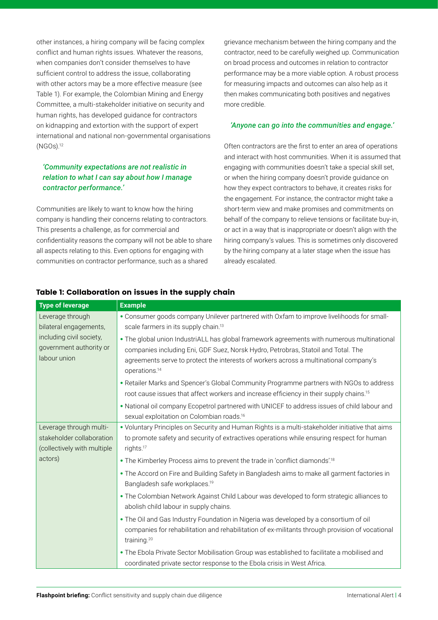other instances, a hiring company will be facing complex conflict and human rights issues. Whatever the reasons, when companies don't consider themselves to have sufficient control to address the issue, collaborating with other actors may be a more effective measure (see Table 1). For example, the Colombian Mining and Energy Committee, a multi-stakeholder initiative on security and human rights, has developed guidance for contractors on kidnapping and extortion with the support of expert international and national non-governmental organisations (NGOs).<sup>12</sup>

#### *'Community expectations are not realistic in relation to what I can say about how I manage contractor performance.'*

Communities are likely to want to know how the hiring company is handling their concerns relating to contractors. This presents a challenge, as for commercial and confidentiality reasons the company will not be able to share all aspects relating to this. Even options for engaging with communities on contractor performance, such as a shared

grievance mechanism between the hiring company and the contractor, need to be carefully weighed up. Communication on broad process and outcomes in relation to contractor performance may be a more viable option. A robust process for measuring impacts and outcomes can also help as it then makes communicating both positives and negatives more credible.

#### *'Anyone can go into the communities and engage.'*

Often contractors are the first to enter an area of operations and interact with host communities. When it is assumed that engaging with communities doesn't take a special skill set, or when the hiring company doesn't provide guidance on how they expect contractors to behave, it creates risks for the engagement. For instance, the contractor might take a short-term view and make promises and commitments on behalf of the company to relieve tensions or facilitate buy-in, or act in a way that is inappropriate or doesn't align with the hiring company's values. This is sometimes only discovered by the hiring company at a later stage when the issue has already escalated.

| <b>Type of leverage</b>                                                             | <b>Example</b>                                                                                                                                                                                                                                                                                        |
|-------------------------------------------------------------------------------------|-------------------------------------------------------------------------------------------------------------------------------------------------------------------------------------------------------------------------------------------------------------------------------------------------------|
| Leverage through<br>bilateral engagements,                                          | . Consumer goods company Unilever partnered with Oxfam to improve livelihoods for small-<br>scale farmers in its supply chain. <sup>13</sup>                                                                                                                                                          |
| including civil society,<br>government authority or<br>labour union                 | . The global union IndustriALL has global framework agreements with numerous multinational<br>companies including Eni, GDF Suez, Norsk Hydro, Petrobras, Statoil and Total. The<br>agreements serve to protect the interests of workers across a multinational company's<br>operations. <sup>14</sup> |
|                                                                                     | . Retailer Marks and Spencer's Global Community Programme partners with NGOs to address<br>root cause issues that affect workers and increase efficiency in their supply chains. <sup>15</sup>                                                                                                        |
|                                                                                     | . National oil company Ecopetrol partnered with UNICEF to address issues of child labour and<br>sexual exploitation on Colombian roads. <sup>16</sup>                                                                                                                                                 |
| Leverage through multi-<br>stakeholder collaboration<br>(collectively with multiple | . Voluntary Principles on Security and Human Rights is a multi-stakeholder initiative that aims<br>to promote safety and security of extractives operations while ensuring respect for human<br>rights. <sup>17</sup>                                                                                 |
| actors)                                                                             | • The Kimberley Process aims to prevent the trade in 'conflict diamonds'. <sup>18</sup>                                                                                                                                                                                                               |
|                                                                                     | • The Accord on Fire and Building Safety in Bangladesh aims to make all garment factories in<br>Bangladesh safe workplaces. <sup>19</sup>                                                                                                                                                             |
|                                                                                     | . The Colombian Network Against Child Labour was developed to form strategic alliances to<br>abolish child labour in supply chains.                                                                                                                                                                   |
|                                                                                     | . The Oil and Gas Industry Foundation in Nigeria was developed by a consortium of oil<br>companies for rehabilitation and rehabilitation of ex-militants through provision of vocational<br>training. <sup>20</sup>                                                                                   |
|                                                                                     | . The Ebola Private Sector Mobilisation Group was established to facilitate a mobilised and<br>coordinated private sector response to the Ebola crisis in West Africa.                                                                                                                                |

#### Table 1: Collaboration on issues in the supply chain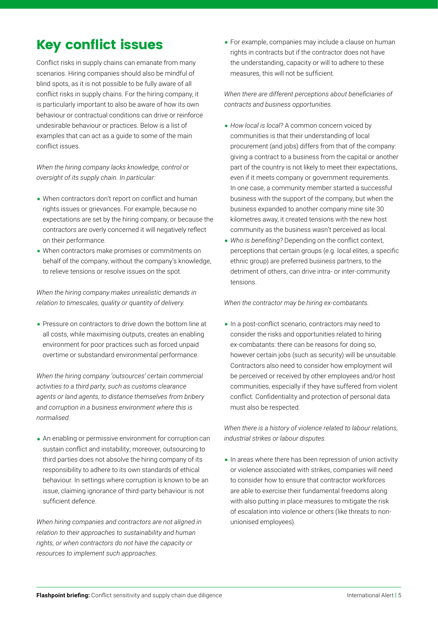# Key conflict issues

Conflict risks in supply chains can emanate from many scenarios. Hiring companies should also be mindful of blind spots, as it is not possible to be fully aware of all conflict risks in supply chains. For the hiring company, it is particularly important to also be aware of how its own behaviour or contractual conditions can drive or reinforce undesirable behaviour or practices. Below is a list of examples that can act as a guide to some of the main conflict issues.

*When the hiring company lacks knowledge, control or oversight of its supply chain. In particular:*

- When contractors don't report on conflict and human rights issues or grievances. For example, because no expectations are set by the hiring company, or because the contractors are overly concerned it will negatively reflect on their performance.
- When contractors make promises or commitments on behalf of the company, without the company's knowledge, to relieve tensions or resolve issues on the spot.

*When the hiring company makes unrealistic demands in relation to timescales, quality or quantity of delivery*.

• Pressure on contractors to drive down the bottom line at all costs, while maximising outputs, creates an enabling environment for poor practices such as forced unpaid overtime or substandard environmental performance.

*When the hiring company 'outsources' certain commercial activities to a third party, such as customs clearance agents or land agents, to distance themselves from bribery and corruption in a business environment where this is normalised.*

• An enabling or permissive environment for corruption can sustain conflict and instability; moreover, outsourcing to third parties does not absolve the hiring company of its responsibility to adhere to its own standards of ethical behaviour. In settings where corruption is known to be an issue, claiming ignorance of third-party behaviour is not sufficient defence.

*When hiring companies and contractors are not aligned in relation to their approaches to sustainability and human rights, or when contractors do not have the capacity or resources to implement such approaches.*

• For example, companies may include a clause on human rights in contracts but if the contractor does not have the understanding, capacity or will to adhere to these measures, this will not be sufficient.

*When there are different perceptions about beneficiaries of contracts and business opportunities.*

- *How local is local?* A common concern voiced by communities is that their understanding of local procurement (and jobs) differs from that of the company: giving a contract to a business from the capital or another part of the country is not likely to meet their expectations, even if it meets company or government requirements. In one case, a community member started a successful business with the support of the company, but when the business expanded to another company mine site 30 kilometres away, it created tensions with the new host community as the business wasn't perceived as local.
- *Who is benefiting?* Depending on the conflict context, perceptions that certain groups (e.g. local elites, a specific ethnic group) are preferred business partners, to the detriment of others, can drive intra- or inter-community tensions.

*When the contractor may be hiring ex-combatants.*

• In a post-conflict scenario, contractors may need to consider the risks and opportunities related to hiring ex-combatants: there can be reasons for doing so, however certain jobs (such as security) will be unsuitable. Contractors also need to consider how employment will be perceived or received by other employees and/or host communities, especially if they have suffered from violent conflict. Confidentiality and protection of personal data must also be respected.

*When there is a history of violence related to labour relations, industrial strikes or labour disputes.*

•In areas where there has been repression of union activity or violence associated with strikes, companies will need to consider how to ensure that contractor workforces are able to exercise their fundamental freedoms along with also putting in place measures to mitigate the risk of escalation into violence or others (like threats to nonunionised employees).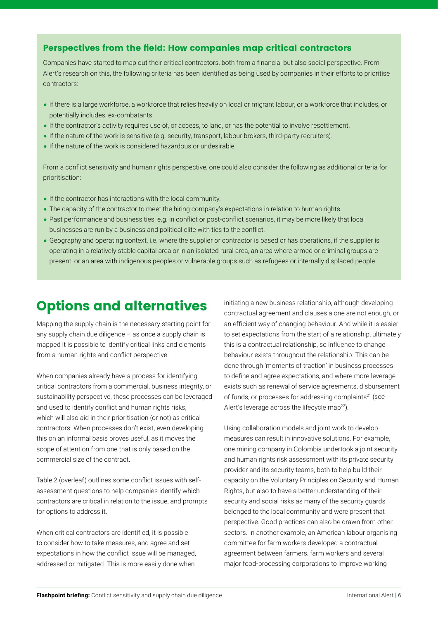#### Perspectives from the field: How companies map critical contractors

Companies have started to map out their critical contractors, both from a financial but also social perspective. From Alert's research on this, the following criteria has been identified as being used by companies in their efforts to prioritise contractors:

- •If there is a large workforce, a workforce that relies heavily on local or migrant labour, or a workforce that includes, or potentially includes, ex-combatants.
- •If the contractor's activity requires use of, or access, to land, or has the potential to involve resettlement.
- •If the nature of the work is sensitive (e.g. security, transport, labour brokers, third-party recruiters).
- •If the nature of the work is considered hazardous or undesirable.

From a conflict sensitivity and human rights perspective, one could also consider the following as additional criteria for prioritisation:

- •If the contractor has interactions with the local community.
- The capacity of the contractor to meet the hiring company's expectations in relation to human rights.
- Past performance and business ties, e.g. in conflict or post-conflict scenarios, it may be more likely that local businesses are run by a business and political elite with ties to the conflict.
- Geography and operating context, i.e. where the supplier or contractor is based or has operations, if the supplier is operating in a relatively stable capital area or in an isolated rural area, an area where armed or criminal groups are present, or an area with indigenous peoples or vulnerable groups such as refugees or internally displaced people.

# Options and alternatives

Mapping the supply chain is the necessary starting point for any supply chain due diligence – as once a supply chain is mapped it is possible to identify critical links and elements from a human rights and conflict perspective.

When companies already have a process for identifying critical contractors from a commercial, business integrity, or sustainability perspective, these processes can be leveraged and used to identify conflict and human rights risks, which will also aid in their prioritisation (or not) as critical contractors. When processes don't exist, even developing this on an informal basis proves useful, as it moves the scope of attention from one that is only based on the commercial size of the contract.

Table 2 (overleaf) outlines some conflict issues with selfassessment questions to help companies identify which contractors are critical in relation to the issue, and prompts for options to address it.

When critical contractors are identified, it is possible to consider how to take measures, and agree and set expectations in how the conflict issue will be managed, addressed or mitigated. This is more easily done when

initiating a new business relationship, although developing contractual agreement and clauses alone are not enough, or an efficient way of changing behaviour. And while it is easier to set expectations from the start of a relationship, ultimately this is a contractual relationship, so influence to change behaviour exists throughout the relationship. This can be done through 'moments of traction' in business processes to define and agree expectations, and where more leverage exists such as renewal of service agreements, disbursement of funds, or processes for addressing complaints<sup>21</sup> (see Alert's leverage across the lifecycle map<sup>22</sup>).

Using collaboration models and joint work to develop measures can result in innovative solutions. For example, one mining company in Colombia undertook a joint security and human rights risk assessment with its private security provider and its security teams, both to help build their capacity on the Voluntary Principles on Security and Human Rights, but also to have a better understanding of their security and social risks as many of the security guards belonged to the local community and were present that perspective. Good practices can also be drawn from other sectors. In another example, an American labour organising committee for farm workers developed a contractual agreement between farmers, farm workers and several major food-processing corporations to improve working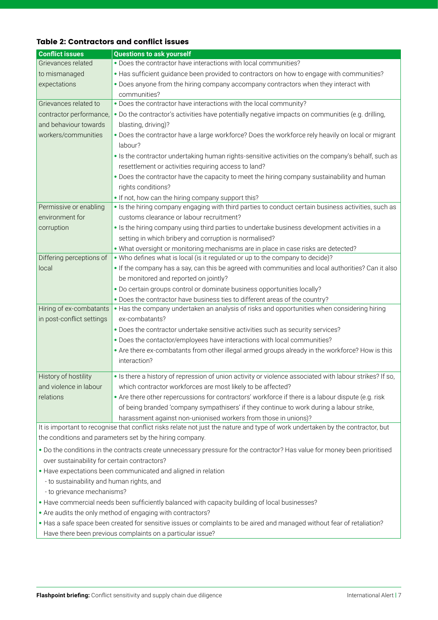#### Table 2: Contractors and conflict issues

| <b>Conflict issues</b>                                                                                                         | <b>Questions to ask yourself</b>                                                                                  |
|--------------------------------------------------------------------------------------------------------------------------------|-------------------------------------------------------------------------------------------------------------------|
| Grievances related                                                                                                             | . Does the contractor have interactions with local communities?                                                   |
| to mismanaged                                                                                                                  | • Has sufficient guidance been provided to contractors on how to engage with communities?                         |
| expectations                                                                                                                   | . Does anyone from the hiring company accompany contractors when they interact with<br>communities?               |
| Grievances related to                                                                                                          | . Does the contractor have interactions with the local community?                                                 |
| contractor performance,                                                                                                        | . Do the contractor's activities have potentially negative impacts on communities (e.g. drilling,                 |
| and behaviour towards                                                                                                          | blasting, driving)?                                                                                               |
| workers/communities                                                                                                            | . Does the contractor have a large workforce? Does the workforce rely heavily on local or migrant<br>labour?      |
|                                                                                                                                | • Is the contractor undertaking human rights-sensitive activities on the company's behalf, such as                |
|                                                                                                                                | resettlement or activities requiring access to land?                                                              |
|                                                                                                                                | . Does the contractor have the capacity to meet the hiring company sustainability and human<br>rights conditions? |
|                                                                                                                                | • If not, how can the hiring company support this?                                                                |
| Permissive or enabling                                                                                                         | • Is the hiring company engaging with third parties to conduct certain business activities, such as               |
| environment for                                                                                                                | customs clearance or labour recruitment?                                                                          |
| corruption                                                                                                                     | . Is the hiring company using third parties to undertake business development activities in a                     |
|                                                                                                                                | setting in which bribery and corruption is normalised?                                                            |
|                                                                                                                                | • What oversight or monitoring mechanisms are in place in case risks are detected?                                |
| Differing perceptions of                                                                                                       | • Who defines what is local (is it regulated or up to the company to decide)?                                     |
| local                                                                                                                          | . If the company has a say, can this be agreed with communities and local authorities? Can it also                |
|                                                                                                                                | be monitored and reported on jointly?                                                                             |
|                                                                                                                                | . Do certain groups control or dominate business opportunities locally?                                           |
|                                                                                                                                | . Does the contractor have business ties to different areas of the country?                                       |
| Hiring of ex-combatants                                                                                                        | • Has the company undertaken an analysis of risks and opportunities when considering hiring                       |
| in post-conflict settings                                                                                                      | ex-combatants?                                                                                                    |
|                                                                                                                                | . Does the contractor undertake sensitive activities such as security services?                                   |
|                                                                                                                                | . Does the contactor/employees have interactions with local communities?                                          |
|                                                                                                                                | . Are there ex-combatants from other illegal armed groups already in the workforce? How is this<br>interaction?   |
| History of hostility                                                                                                           | . Is there a history of repression of union activity or violence associated with labour strikes? If so,           |
| and violence in labour                                                                                                         | which contractor workforces are most likely to be affected?                                                       |
| relations                                                                                                                      | • Are there other repercussions for contractors' workforce if there is a labour dispute (e.g. risk                |
|                                                                                                                                | of being branded 'company sympathisers' if they continue to work during a labour strike,                          |
|                                                                                                                                | harassment against non-unionised workers from those in unions)?                                                   |
| It is important to recognise that conflict risks relate not just the nature and type of work undertaken by the contractor, but |                                                                                                                   |
| the conditions and parameters set by the hiring company.                                                                       |                                                                                                                   |
|                                                                                                                                |                                                                                                                   |

- Do the conditions in the contracts create unnecessary pressure for the contractor? Has value for money been prioritised over sustainability for certain contractors?
- Have expectations been communicated and aligned in relation
	- to sustainability and human rights, and
	- to grievance mechanisms?
- Have commercial needs been sufficiently balanced with capacity building of local businesses?
- Are audits the only method of engaging with contractors?
- Has a safe space been created for sensitive issues or complaints to be aired and managed without fear of retaliation? Have there been previous complaints on a particular issue?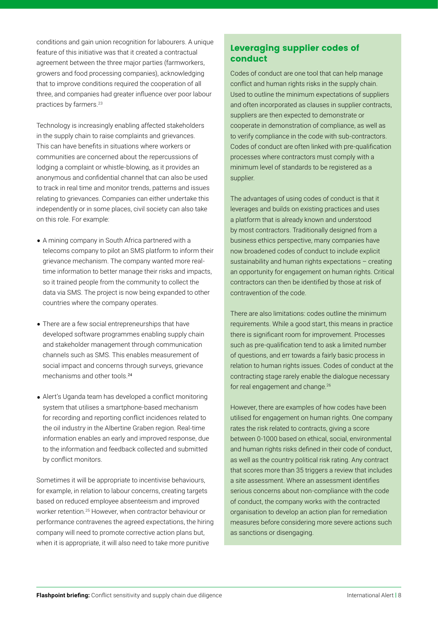conditions and gain union recognition for labourers. A unique feature of this initiative was that it created a contractual agreement between the three major parties (farmworkers, growers and food processing companies), acknowledging that to improve conditions required the cooperation of all three, and companies had greater influence over poor labour practices by farmers.<sup>23</sup>

Technology is increasingly enabling affected stakeholders in the supply chain to raise complaints and grievances. This can have benefits in situations where workers or communities are concerned about the repercussions of lodging a complaint or whistle-blowing, as it provides an anonymous and confidential channel that can also be used to track in real time and monitor trends, patterns and issues relating to grievances. Companies can either undertake this independently or in some places, civil society can also take on this role. For example:

- A mining company in South Africa partnered with a telecoms company to pilot an SMS platform to inform their grievance mechanism. The company wanted more realtime information to better manage their risks and impacts, so it trained people from the community to collect the data via SMS. The project is now being expanded to other countries where the company operates.
- There are a few social entrepreneurships that have developed software programmes enabling supply chain and stakeholder management through communication channels such as SMS. This enables measurement of social impact and concerns through surveys, grievance mechanisms and other tools <sup>24</sup>
- Alert's Uganda team has developed a conflict monitoring system that utilises a smartphone-based mechanism for recording and reporting conflict incidences related to the oil industry in the Albertine Graben region. Real-time information enables an early and improved response, due to the information and feedback collected and submitted by conflict monitors.

Sometimes it will be appropriate to incentivise behaviours, for example, in relation to labour concerns, creating targets based on reduced employee absenteeism and improved worker retention.<sup>25</sup> However, when contractor behaviour or performance contravenes the agreed expectations, the hiring company will need to promote corrective action plans but, when it is appropriate, it will also need to take more punitive

#### Leveraging supplier codes of conduct

Codes of conduct are one tool that can help manage conflict and human rights risks in the supply chain. Used to outline the minimum expectations of suppliers and often incorporated as clauses in supplier contracts, suppliers are then expected to demonstrate or cooperate in demonstration of compliance, as well as to verify compliance in the code with sub-contractors. Codes of conduct are often linked with pre-qualification processes where contractors must comply with a minimum level of standards to be registered as a supplier.

The advantages of using codes of conduct is that it leverages and builds on existing practices and uses a platform that is already known and understood by most contractors. Traditionally designed from a business ethics perspective, many companies have now broadened codes of conduct to include explicit sustainability and human rights expectations – creating an opportunity for engagement on human rights. Critical contractors can then be identified by those at risk of contravention of the code.

There are also limitations: codes outline the minimum requirements. While a good start, this means in practice there is significant room for improvement. Processes such as pre-qualification tend to ask a limited number of questions, and err towards a fairly basic process in relation to human rights issues. Codes of conduct at the contracting stage rarely enable the dialogue necessary for real engagement and change.<sup>26</sup>

However, there are examples of how codes have been utilised for engagement on human rights. One company rates the risk related to contracts, giving a score between 0-1000 based on ethical, social, environmental and human rights risks defined in their code of conduct. as well as the country political risk rating. Any contract that scores more than 35 triggers a review that includes a site assessment. Where an assessment identifies serious concerns about non-compliance with the code of conduct, the company works with the contracted organisation to develop an action plan for remediation measures before considering more severe actions such as sanctions or disengaging.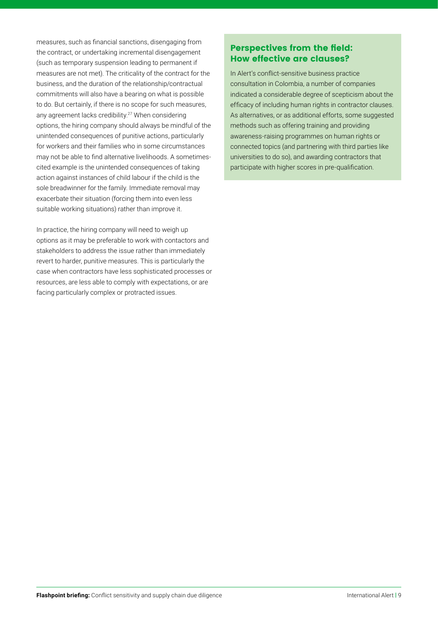measures, such as financial sanctions, disengaging from the contract, or undertaking incremental disengagement (such as temporary suspension leading to permanent if measures are not met). The criticality of the contract for the business, and the duration of the relationship/contractual commitments will also have a bearing on what is possible to do. But certainly, if there is no scope for such measures, any agreement lacks credibility.<sup>27</sup> When considering options, the hiring company should always be mindful of the unintended consequences of punitive actions, particularly for workers and their families who in some circumstances may not be able to find alternative livelihoods. A sometimescited example is the unintended consequences of taking action against instances of child labour if the child is the sole breadwinner for the family. Immediate removal may exacerbate their situation (forcing them into even less suitable working situations) rather than improve it.

In practice, the hiring company will need to weigh up options as it may be preferable to work with contactors and stakeholders to address the issue rather than immediately revert to harder, punitive measures. This is particularly the case when contractors have less sophisticated processes or resources, are less able to comply with expectations, or are facing particularly complex or protracted issues.

#### Perspectives from the field: How effective are clauses?

In Alert's conflict-sensitive business practice consultation in Colombia, a number of companies indicated a considerable degree of scepticism about the efficacy of including human rights in contractor clauses. As alternatives, or as additional efforts, some suggested methods such as offering training and providing awareness-raising programmes on human rights or connected topics (and partnering with third parties like universities to do so), and awarding contractors that participate with higher scores in pre-qualification.